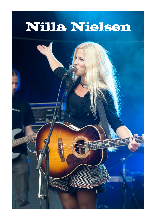## Nilla Nielsen

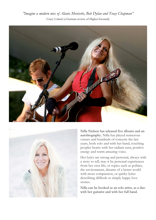





Nilla Nielsen has released five albums and an autobiography. Nilla has played numerous venues and hundreds of concerts the last years, both solo and with her band, touching peoples hearts with her radiant aura, positive energy and warm amazing voice.

Her lyrics are strong and personal, always with a story to tell, may it be personal experiences from her own life, or topics such as politics, the environment, dreams of a better world with more compassion, or quirky lyrics describing difficult or simply happy love stories.

Nilla can be booked as an solo artist, as a duo with her guitarist and with her full band.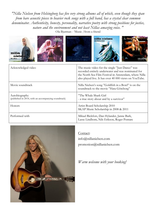*"Nilla Nielsen from Helsingborg has five very strong albums all of which, even though they span from bare acoustic pieces to heavier rock songs with a full band, has a crystal clear common denominator. Authenticity, honesty, personality, narrative poetry with strong positions for justice, nature and the environment and not least Nillas amazing voice. "* Ola Bjurman - 'Music /from a friend





| Acknowledged video                                                    | The music video for the single "Just Dance" was<br>recorded entirely underwater and was nominated for<br>the North Sea Film Festival in Amsterdam, where Nilla<br>also played live. It has over 40 000 views on YouTube. |
|-----------------------------------------------------------------------|--------------------------------------------------------------------------------------------------------------------------------------------------------------------------------------------------------------------------|
| Movie soundtrack                                                      | Nilla Nielsen's song "Goldfish in a Bowl" is on the<br>soundtrack to the movie "Hata Göteborg"                                                                                                                           |
| Autobiography<br>(published in 2014, with an accompanying soundtrack) | "The Whale Shark Girl<br>- a true story about and by a survivor"                                                                                                                                                         |
| Honors                                                                | Artist Board Scholarship 2010<br>SKAP Music Scholarship in 2008 & 2011                                                                                                                                                   |
| Performed with                                                        | Mikael Rickfors, Dan Hylander, Janne Bark,<br>Lasse Lindbom, Nils Erikson, Roger Pontare                                                                                                                                 |



Contact:

info@nillanielsen.com promotion@nillanielsen.com

*Warm welcome with your booking!*